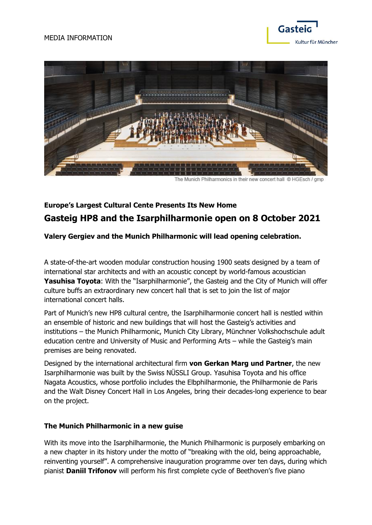#### MEDIA INFORMATION



The Munich Philharmonics in their new concert hall @ HGEsch / gmp

## **Europe's Largest Cultural Cente Presents Its New Home Gasteig HP8 and the Isarphilharmonie open on 8 October 2021**

#### **Valery Gergiev and the Munich Philharmonic will lead opening celebration.**

A state-of-the-art wooden modular construction housing 1900 seats designed by a team of international star architects and with an acoustic concept by world-famous acoustician Yasuhisa Toyota: With the "Isarphilharmonie", the Gasteig and the City of Munich will offer culture buffs an extraordinary new concert hall that is set to join the list of major international concert halls.

Part of Munich's new HP8 cultural centre, the Isarphilharmonie concert hall is nestled within an ensemble of historic and new buildings that will host the Gasteig's activities and institutions – the Munich Philharmonic, Munich City Library, Münchner Volkshochschule adult education centre and University of Music and Performing Arts – while the Gasteig's main premises are being renovated.

Designed by the international architectural firm **von Gerkan Marg und Partner**, the new Isarphilharmonie was built by the Swiss NÜSSLI Group. Yasuhisa Toyota and his office Nagata Acoustics, whose portfolio includes the Elbphilharmonie, the Philharmonie de Paris and the Walt Disney Concert Hall in Los Angeles, bring their decades-long experience to bear on the project.

#### **The Munich Philharmonic in a new guise**

With its move into the Isarphilharmonie, the Munich Philharmonic is purposely embarking on a new chapter in its history under the motto of "breaking with the old, being approachable, reinventing yourself". A comprehensive inauguration programme over ten days, during which pianist **Daniil Trifonov** will perform his first complete cycle of Beethoven's five piano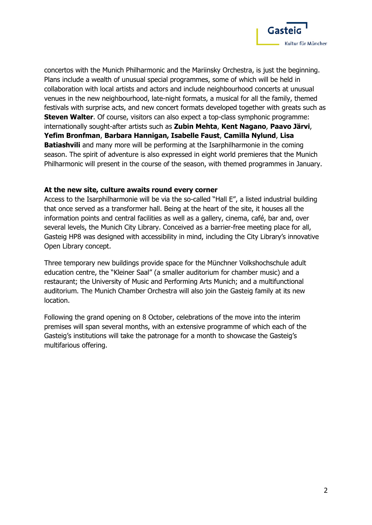

concertos with the Munich Philharmonic and the Mariinsky Orchestra, is just the beginning. Plans include a wealth of unusual special programmes, some of which will be held in collaboration with local artists and actors and include neighbourhood concerts at unusual venues in the new neighbourhood, late-night formats, a musical for all the family, themed festivals with surprise acts, and new concert formats developed together with greats such as **Steven Walter**. Of course, visitors can also expect a top-class symphonic programme: internationally sought-after artists such as **Zubin Mehta**, **Kent Nagano**, **Paavo Järvi**, **Yefim Bronfman**, **Barbara Hannigan, Isabelle Faust**, **Camilla Nylund**, **Lisa Batiashvili** and many more will be performing at the Isarphilharmonie in the coming season. The spirit of adventure is also expressed in eight world premieres that the Munich Philharmonic will present in the course of the season, with themed programmes in January.

#### **At the new site, culture awaits round every corner**

Access to the Isarphilharmonie will be via the so-called "Hall E", a listed industrial building that once served as a transformer hall. Being at the heart of the site, it houses all the information points and central facilities as well as a gallery, cinema, café, bar and, over several levels, the Munich City Library. Conceived as a barrier-free meeting place for all, Gasteig HP8 was designed with accessibility in mind, including the City Library's innovative Open Library concept.

Three temporary new buildings provide space for the Münchner Volkshochschule adult education centre, the "Kleiner Saal" (a smaller auditorium for chamber music) and a restaurant; the University of Music and Performing Arts Munich; and a multifunctional auditorium. The Munich Chamber Orchestra will also join the Gasteig family at its new location.

Following the grand opening on 8 October, celebrations of the move into the interim premises will span several months, with an extensive programme of which each of the Gasteig's institutions will take the patronage for a month to showcase the Gasteig's multifarious offering.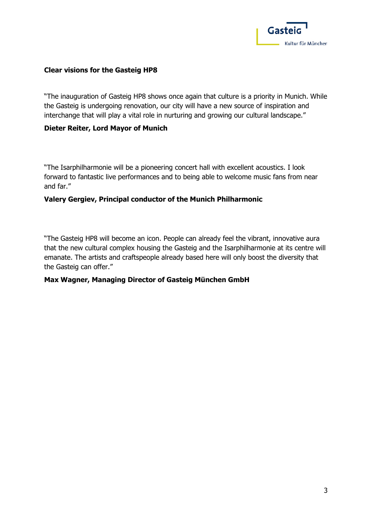

#### **Clear visions for the Gasteig HP8**

"The inauguration of Gasteig HP8 shows once again that culture is a priority in Munich. While the Gasteig is undergoing renovation, our city will have a new source of inspiration and interchange that will play a vital role in nurturing and growing our cultural landscape."

#### **Dieter Reiter, Lord Mayor of Munich**

"The Isarphilharmonie will be a pioneering concert hall with excellent acoustics. I look forward to fantastic live performances and to being able to welcome music fans from near and far."

#### **Valery Gergiev, Principal conductor of the Munich Philharmonic**

"The Gasteig HP8 will become an icon. People can already feel the vibrant, innovative aura that the new cultural complex housing the Gasteig and the Isarphilharmonie at its centre will emanate. The artists and craftspeople already based here will only boost the diversity that the Gasteig can offer."

#### **Max Wagner, Managing Director of Gasteig München GmbH**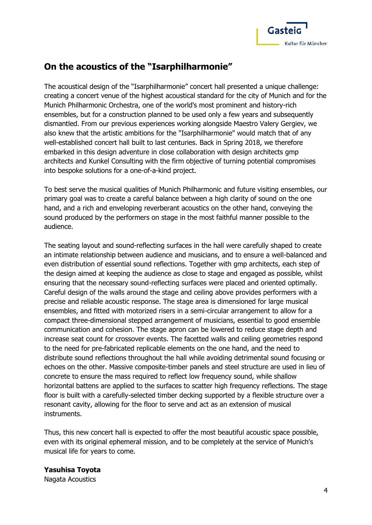

# **On the acoustics of the "Isarphilharmonie"**

The acoustical design of the "Isarphilharmonie" concert hall presented a unique challenge: creating a concert venue of the highest acoustical standard for the city of Munich and for the Munich Philharmonic Orchestra, one of the world's most prominent and history-rich ensembles, but for a construction planned to be used only a few years and subsequently dismantled. From our previous experiences working alongside Maestro Valery Gergiev, we also knew that the artistic ambitions for the "Isarphilharmonie" would match that of any well-established concert hall built to last centuries. Back in Spring 2018, we therefore embarked in this design adventure in close collaboration with design architects gmp architects and Kunkel Consulting with the firm objective of turning potential compromises into bespoke solutions for a one-of-a-kind project.

To best serve the musical qualities of Munich Philharmonic and future visiting ensembles, our primary goal was to create a careful balance between a high clarity of sound on the one hand, and a rich and enveloping reverberant acoustics on the other hand, conveying the sound produced by the performers on stage in the most faithful manner possible to the audience.

The seating layout and sound-reflecting surfaces in the hall were carefully shaped to create an intimate relationship between audience and musicians, and to ensure a well-balanced and even distribution of essential sound reflections. Together with gmp architects, each step of the design aimed at keeping the audience as close to stage and engaged as possible, whilst ensuring that the necessary sound-reflecting surfaces were placed and oriented optimally. Careful design of the walls around the stage and ceiling above provides performers with a precise and reliable acoustic response. The stage area is dimensioned for large musical ensembles, and fitted with motorized risers in a semi-circular arrangement to allow for a compact three-dimensional stepped arrangement of musicians, essential to good ensemble communication and cohesion. The stage apron can be lowered to reduce stage depth and increase seat count for crossover events. The facetted walls and ceiling geometries respond to the need for pre-fabricated replicable elements on the one hand, and the need to distribute sound reflections throughout the hall while avoiding detrimental sound focusing or echoes on the other. Massive composite-timber panels and steel structure are used in lieu of concrete to ensure the mass required to reflect low frequency sound, while shallow horizontal battens are applied to the surfaces to scatter high frequency reflections. The stage floor is built with a carefully-selected timber decking supported by a flexible structure over a resonant cavity, allowing for the floor to serve and act as an extension of musical instruments.

Thus, this new concert hall is expected to offer the most beautiful acoustic space possible, even with its original ephemeral mission, and to be completely at the service of Munich's musical life for years to come.

#### **Yasuhisa Toyota**

Nagata Acoustics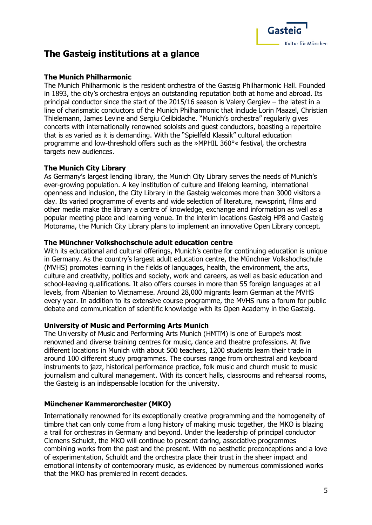

## **The Gasteig institutions at a glance**

#### **The Munich Philharmonic**

The Munich Philharmonic is the resident orchestra of the Gasteig Philharmonic Hall. Founded in 1893, the city's orchestra enjoys an outstanding reputation both at home and abroad. Its principal conductor since the start of the 2015/16 season is Valery Gergiev – the latest in a line of charismatic conductors of the Munich Philharmonic that include Lorin Maazel, Christian Thielemann, James Levine and Sergiu Celibidache. "Munich's orchestra" regularly gives concerts with internationally renowned soloists and guest conductors, boasting a repertoire that is as varied as it is demanding. With the "Spielfeld Klassik" cultural education programme and low-threshold offers such as the »MPHIL 360°« festival, the orchestra targets new audiences.

#### **The Munich City Library**

As Germany's largest lending library, the Munich City Library serves the needs of Munich's ever-growing population. A key institution of culture and lifelong learning, international openness and inclusion, the City Library in the Gasteig welcomes more than 3000 visitors a day. Its varied programme of events and wide selection of literature, newsprint, films and other media make the library a centre of knowledge, exchange and information as well as a popular meeting place and learning venue. In the interim locations Gasteig HP8 and Gasteig Motorama, the Munich City Library plans to implement an innovative Open Library concept.

#### **The Münchner Volkshochschule adult education centre**

With its educational and cultural offerings, Munich's centre for continuing education is unique in Germany. As the country's largest adult education centre, the Münchner Volkshochschule (MVHS) promotes learning in the fields of languages, health, the environment, the arts, culture and creativity, politics and society, work and careers, as well as basic education and school-leaving qualifications. It also offers courses in more than 55 foreign languages at all levels, from Albanian to Vietnamese. Around 28,000 migrants learn German at the MVHS every year. In addition to its extensive course programme, the MVHS runs a forum for public debate and communication of scientific knowledge with its Open Academy in the Gasteig.

#### **University of Music and Performing Arts Munich**

The University of Music and Performing Arts Munich (HMTM) is one of Europe's most renowned and diverse training centres for music, dance and theatre professions. At five different locations in Munich with about 500 teachers, 1200 students learn their trade in around 100 different study programmes. The courses range from orchestral and keyboard instruments to jazz, historical performance practice, folk music and church music to music journalism and cultural management. With its concert halls, classrooms and rehearsal rooms, the Gasteig is an indispensable location for the university.

#### **Münchener Kammerorchester (MKO)**

Internationally renowned for its exceptionally creative programming and the homogeneity of timbre that can only come from a long history of making music together, the MKO is blazing a trail for orchestras in Germany and beyond. Under the leadership of principal conductor Clemens Schuldt, the MKO will continue to present daring, associative programmes combining works from the past and the present. With no aesthetic preconceptions and a love of experimentation, Schuldt and the orchestra place their trust in the sheer impact and emotional intensity of contemporary music, as evidenced by numerous commissioned works that the MKO has premiered in recent decades.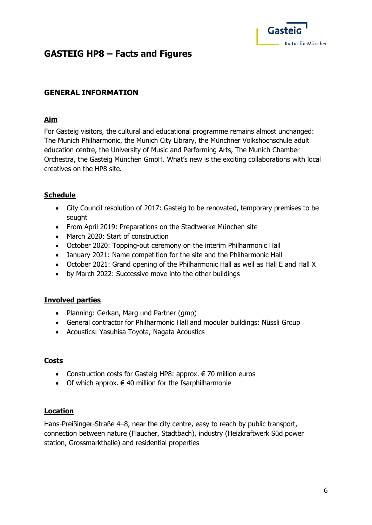

## **GASTEIG HP8 – Facts and Figures**

## **GENERAL INFORMATION**

#### **Aim**

For Gasteig visitors, the cultural and educational programme remains almost unchanged: The Munich Philharmonic, the Munich City Library, the Münchner Volkshochschule adult education centre, the University of Music and Performing Arts, The Munich Chamber Orchestra, the Gasteig München GmbH. What's new is the exciting collaborations with local creatives on the HP8 site.

### **Schedule**

- City Council resolution of 2017: Gasteig to be renovated, temporary premises to be sought
- From April 2019: Preparations on the Stadtwerke München site
- March 2020: Start of construction
- October 2020: Topping-out ceremony on the interim Philharmonic Hall
- January 2021: Name competition for the site and the Philharmonic Hall
- October 2021: Grand opening of the Philharmonic Hall as well as Hall E and Hall X
- by March 2022: Successive move into the other buildings

#### **Involved parties**

- Planning: Gerkan, Marg und Partner (gmp)
- General contractor for Philharmonic Hall and modular buildings: Nüssli Group
- Acoustics: Yasuhisa Toyota, Nagata Acoustics

#### **Costs**

- Construction costs for Gasteig HP8: approx.  $\epsilon$  70 million euros
- Of which approx.  $\epsilon$  40 million for the Isarphilharmonie

#### **Location**

Hans-Preißinger-Straße 4–8, near the city centre, easy to reach by public transport, connection between nature (Flaucher, Stadtbach), industry (Heizkraftwerk Süd power station, Grossmarkthalle) and residential properties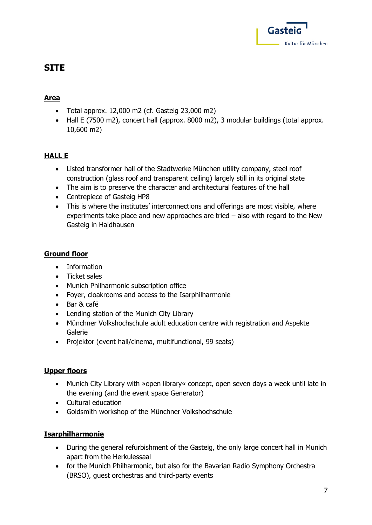

## **SITE**

## **Area**

- Total approx. 12,000 m2 (cf. Gasteig 23,000 m2)
- Hall E (7500 m2), concert hall (approx. 8000 m2), 3 modular buildings (total approx. 10,600 m2)

## **HALL E**

- Listed transformer hall of the Stadtwerke München utility company, steel roof construction (glass roof and transparent ceiling) largely still in its original state
- The aim is to preserve the character and architectural features of the hall
- Centrepiece of Gasteig HP8
- This is where the institutes' interconnections and offerings are most visible, where experiments take place and new approaches are tried – also with regard to the New Gasteig in Haidhausen

## **Ground floor**

- Information
- Ticket sales
- Munich Philharmonic subscription office
- Foyer, cloakrooms and access to the Isarphilharmonie
- Bar & café
- Lending station of the Munich City Library
- Münchner Volkshochschule adult education centre with registration and Aspekte Galerie
- Projektor (event hall/cinema, multifunctional, 99 seats)

## **Upper floors**

- Munich City Library with »open library« concept, open seven days a week until late in the evening (and the event space Generator)
- Cultural education
- Goldsmith workshop of the Münchner Volkshochschule

## **Isarphilharmonie**

- During the general refurbishment of the Gasteig, the only large concert hall in Munich apart from the Herkulessaal
- for the Munich Philharmonic, but also for the Bavarian Radio Symphony Orchestra (BRSO), guest orchestras and third-party events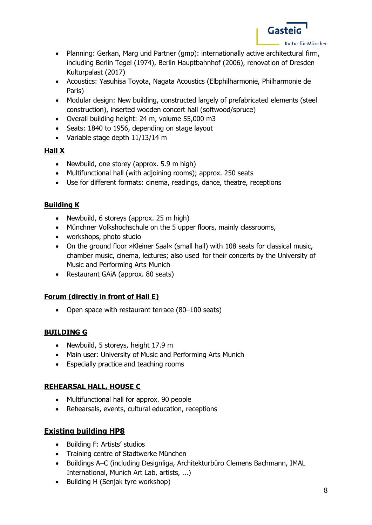

- Planning: Gerkan, Marg und Partner (gmp): internationally active architectural firm, including Berlin Tegel (1974), Berlin Hauptbahnhof (2006), renovation of Dresden Kulturpalast (2017)
- Acoustics: Yasuhisa Toyota, Nagata Acoustics (Elbphilharmonie, Philharmonie de Paris)
- Modular design: New building, constructed largely of prefabricated elements (steel construction), inserted wooden concert hall (softwood/spruce)
- Overall building height: 24 m, volume 55,000 m3
- Seats: 1840 to 1956, depending on stage layout
- Variable stage depth 11/13/14 m

### **Hall X**

- Newbuild, one storey (approx. 5.9 m high)
- Multifunctional hall (with adjoining rooms); approx. 250 seats
- Use for different formats: cinema, readings, dance, theatre, receptions

### **Building K**

- Newbuild, 6 storeys (approx. 25 m high)
- Münchner Volkshochschule on the 5 upper floors, mainly classrooms,
- workshops, photo studio
- On the ground floor »Kleiner Saal« (small hall) with 108 seats for classical music, chamber music, cinema, lectures; also used for their concerts by the University of Music and Performing Arts Munich
- Restaurant GAiA (approx. 80 seats)

## **Forum (directly in front of Hall E)**

• Open space with restaurant terrace (80–100 seats)

## **BUILDING G**

- Newbuild, 5 storeys, height 17.9 m
- Main user: University of Music and Performing Arts Munich
- Especially practice and teaching rooms

#### **REHEARSAL HALL, HOUSE C**

- Multifunctional hall for approx. 90 people
- Rehearsals, events, cultural education, receptions

## **Existing building HP8**

- Building F: Artists' studios
- Training centre of Stadtwerke München
- Buildings A–C (including Designliga, Architekturbüro Clemens Bachmann, IMAL International, Munich Art Lab, artists, ...)
- Building H (Senjak tyre workshop)